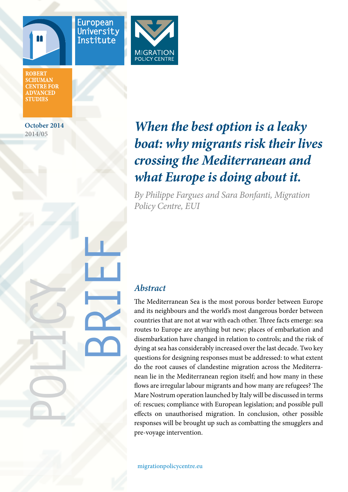



**ROBERT SCHUMAN CENTRE FOR ADVANCED STUDIES** 

**October 2014 2014/05**

**POLICY**

# *When the best option is a leaky boat: why migrants risk their lives crossing the Mediterranean and what Europe is doing about it.*

*By Philippe Fargues and Sara Bonfanti, Migration Policy Centre, EUI*

# *Abstract*

**BRIEF**

The Mediterranean Sea is the most porous border between Europe and its neighbours and the world's most dangerous border between countries that are not at war with each other. Three facts emerge: sea routes to Europe are anything but new; places of embarkation and disembarkation have changed in relation to controls; and the risk of dying at sea has considerably increased over the last decade. Two key questions for designing responses must be addressed: to what extent do the root causes of clandestine migration across the Mediterranean lie in the Mediterranean region itself; and how many in these flows are irregular labour migrants and how many are refugees? The Mare Nostrum operation launched by Italy will be discussed in terms of: rescues; compliance with European legislation; and possible pull effects on unauthorised migration. In conclusion, other possible responses will be brought up such as combatting the smugglers and pre-voyage intervention.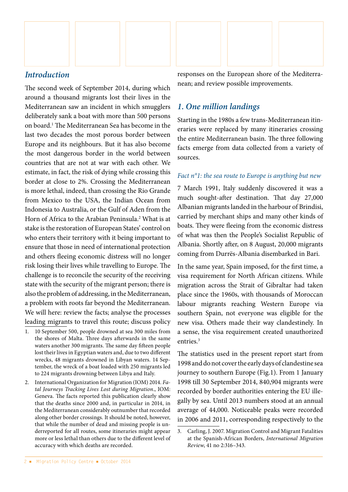

# *Introduction*

The second week of September 2014, during which around a thousand migrants lost their lives in the Mediterranean saw an incident in which smugglers deliberately sank a boat with more than 500 persons on board.1 The Mediterranean Sea has become in the last two decades the most porous border between Europe and its neighbours. But it has also become the most dangerous border in the world between countries that are not at war with each other. We estimate, in fact, the risk of dying while crossing this border at close to 2%. Crossing the Mediterranean is more lethal, indeed, than crossing the Rio Grande from Mexico to the USA, the Indian Ocean from Indonesia to Australia, or the Gulf of Aden from the Horn of Africa to the Arabian Peninsula.<sup>2</sup> What is at stake is the restoration of European States' control on who enters their territory with it being important to ensure that those in need of international protection and others fleeing economic distress will no longer risk losing their lives while travelling to Europe. The challenge is to reconcile the security of the receiving state with the security of the migrant person; there is also the problem of addressing, in the Mediterranean, a problem with roots far beyond the Mediterranean. We will here: review the facts; analyse the processes leading migrants to travel this route; discuss policy

- 1. 10 September 500, people drowned at sea 300 miles from the shores of Malta. Three days afterwards in the same waters another 300 migrants. The same day fifteen people lost their lives in Egyptian waters and, due to two different wrecks, 48 migrants drowned in Libyan waters. 14 September, the wreck of a boat loaded with 250 migrants led to 224 migrants drowning between Libya and Italy.
- 2. International Organization for Migration (IOM) 2014. *Fatal Journeys Tracking Lives Lost during Migration*., IOM: Geneva. The facts reported this publication clearly show that the deaths since 2000 and, in particular in 2014, in the Mediterranean considerably outnumber that recorded along other border crossings. It should be noted, however, that while the number of dead and missing people is underreported for all routes, some itineraries might appear more or less lethal than others due to the different level of accuracy with which deaths are recorded.

responses on the European shore of the Mediterranean; and review possible improvements.

## *1. One million landings*

Starting in the 1980s a few trans-Mediterranean itineraries were replaced by many itineraries crossing the entire Mediterranean basin. The three following facts emerge from data collected from a variety of sources.

#### *Fact n°1: the sea route to Europe is anything but new*

7 March 1991, Italy suddenly discovered it was a much sought-after destination. That day 27,000 Albanian migrants landed in the harbour of Brindisi, carried by merchant ships and many other kinds of boats. They were fleeing from the economic distress of what was then the People's Socialist Republic of Albania. Shortly after, on 8 August, 20,000 migrants coming from Durrës-Albania disembarked in Bari.

In the same year, Spain imposed, for the first time, a visa requirement for North African citizens. While migration across the Strait of Gibraltar had taken place since the 1960s, with thousands of Moroccan labour migrants reaching Western Europe via southern Spain, not everyone was eligible for the new visa. Others made their way clandestinely. In a sense, the visa requirement created unauthorized entries.<sup>3</sup>

The statistics used in the present report start from 1998 and do not cover the early days of clandestine sea journey to southern Europe (Fig.1). From 1 January 1998 till 30 September 2014, 840,904 migrants were recorded by border authorities entering the EU illegally by sea. Until 2013 numbers stood at an annual average of 44,000. Noticeable peaks were recorded in 2006 and 2011, corresponding respectively to the

<sup>3.</sup> Carling, J. 2007. Migration Control and Migrant Fatalities at the Spanish-African Borders, *International Migration Review*, 41 no 2:316–343.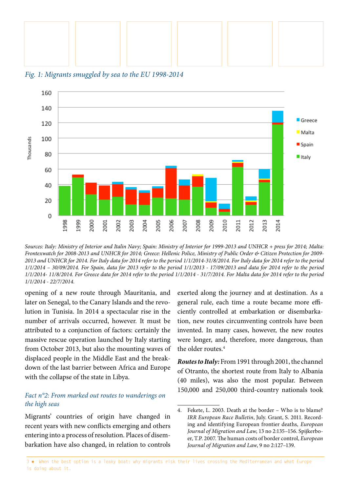

*Fig. 1: Migrants smuggled by sea to the EU 1998-2014* 



*Sources: Italy: Ministry of Interior and Italin Navy; Spain: Ministry of Interior for 1999-2013 and UNHCR + press for 2014; Malta: Frontexwatch for 2008-2013 and UNHCR for 2014; Greece: Hellenic Police, Ministry of Public Order & Citizen Protection for 2009- 2013 and UNHCR for 2014. For Italy data for 2014 refer to the period 1/1/2014-31/8/2014. For Italy data for 2014 refer to the period 1/1/2014 – 30/09/2014. For Spain, data for 2013 refer to the period 1/1/2013 - 17/09/2013 and data for 2014 refer to the period 1/1/2014- 11/8/2014. For Greece data for 2014 refer to the period 1/1/2014 - 31/7/2014. For Malta data for 2014 refer to the period 1/1/2014 - 22/7/2014.*

opening of a new route through Mauritania, and later on Senegal, to the Canary Islands and the revolution in Tunisia. In 2014 a spectacular rise in the number of arrivals occurred, however. It must be attributed to a conjunction of factors: certainly the massive rescue operation launched by Italy starting from October 2013, but also the mounting waves of displaced people in the Middle East and the breakdown of the last barrier between Africa and Europe with the collapse of the state in Libya.

### *Fact n°2: From marked out routes to wanderings on the high seas*

Migrants' countries of origin have changed in recent years with new conflicts emerging and others entering into a process of resolution. Places of disembarkation have also changed, in relation to controls

exerted along the journey and at destination. As a general rule, each time a route became more efficiently controlled at embarkation or disembarkation, new routes circumventing controls have been invented. In many cases, however, the new routes were longer, and, therefore, more dangerous, than the older routes.<sup>4</sup>

*Routes to Italy:* From 1991 through 2001, the channel of Otranto, the shortest route from Italy to Albania (40 miles), was also the most popular. Between 150,000 and 250,000 third-country nationals took

<sup>4.</sup> Fekete, L. 2003. Death at the border – Who is to blame? *IRR European Race Bulletin*, July. Grant, S. 2011. Recording and identifying European frontier deaths*, European Journal of Migration and Law*, 13 no 2:135–156. Spijkerboer, T.P. 2007. The human costs of border control, *European Journal of Migration and Law*, 9 no 2:127–139.

<sup>3 ■</sup> When the best option is a leaky boat: why migrants risk their lives crossing the Mediterranean and what Europe is doing about it.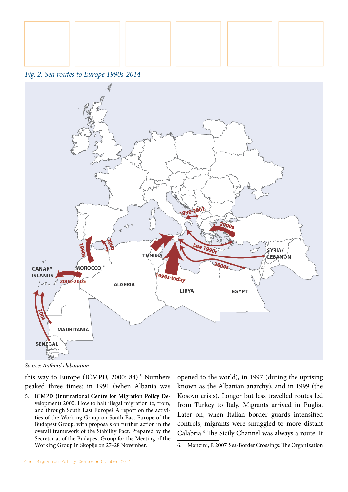





*Source: Authors' elaboration*

this way to Europe (ICMPD, 2000: 84).<sup>5</sup> Numbers peaked three times: in 1991 (when Albania was

5. ICMPD (International Centre for Migration Policy Development) 2000. How to halt illegal migration to, from, and through South East Europe? A report on the activities of the Working Group on South East Europe of the Budapest Group, with proposals on further action in the overall framework of the Stability Pact. Prepared by the Secretariat of the Budapest Group for the Meeting of the Working Group in Skoplje on 27–28 November.

opened to the world), in 1997 (during the uprising known as the Albanian anarchy), and in 1999 (the Kosovo crisis). Longer but less travelled routes led from Turkey to Italy. Migrants arrived in Puglia. Later on, when Italian border guards intensified controls, migrants were smuggled to more distant Calabria.6 The Sicily Channel was always a route. It

6. Monzini, P. 2007. Sea-Border Crossings: The Organization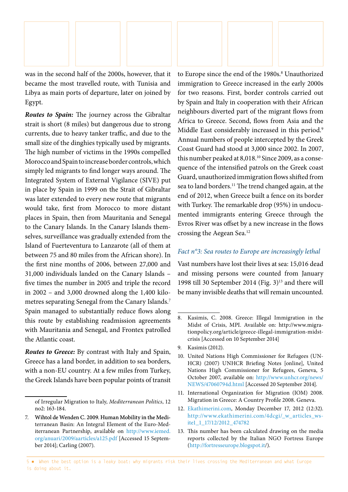

was in the second half of the 2000s, however, that it became the most travelled route, with Tunisia and Libya as main ports of departure, later on joined by Egypt.

*Routes to Spain:* The journey across the Gibraltar strait is short (8 miles) but dangerous due to strong currents, due to heavy tanker traffic, and due to the small size of the dinghies typically used by migrants. The high number of victims in the 1990s compelled Morocco and Spain to increase border controls, which simply led migrants to find longer ways around. The Integrated System of External Vigilance (SIVE) put in place by Spain in 1999 on the Strait of Gibraltar was later extended to every new route that migrants would take, first from Morocco to more distant places in Spain, then from Mauritania and Senegal to the Canary Islands. In the Canary Islands themselves, surveillance was gradually extended from the Island of Fuerteventura to Lanzarote (all of them at between 75 and 80 miles from the African shore). In the first nine months of 2006, between 27,000 and 31,000 individuals landed on the Canary Islands – five times the number in 2005 and triple the record in 2002 – and 3,000 drowned along the 1,400 kilometres separating Senegal from the Canary Islands.7 Spain managed to substantially reduce flows along this route by establishing readmission agreements with Mauritania and Senegal, and Frontex patrolled the Atlantic coast.

*Routes to Greece:* By contrast with Italy and Spain, Greece has a land border, in addition to sea borders, with a non-EU country. At a few miles from Turkey, the Greek Islands have been popular points of transit

to Europe since the end of the 1980s.<sup>8</sup> Unauthorized immigration to Greece increased in the early 2000s for two reasons. First, border controls carried out by Spain and Italy in cooperation with their African neighbours diverted part of the migrant flows from Africa to Greece. Second, flows from Asia and the Middle East considerably increased in this period.<sup>9</sup> Annual numbers of people intercepted by the Greek Coast Guard had stood at 3,000 since 2002. In 2007, this number peaked at 8,018.<sup>10</sup> Since 2009, as a consequence of the intensified patrols on the Greek coast Guard, unauthorized immigration flows shifted from sea to land borders.<sup>11</sup> The trend changed again, at the end of 2012, when Greece built a fence on its border with Turkey. The remarkable drop (95%) in undocumented immigrants entering Greece through the Evros River was offset by a new increase in the flows crossing the Aegean Sea.12

#### *Fact n°3: Sea routes to Europe are increasingly lethal*

Vast numbers have lost their lives at sea: 15,016 dead and missing persons were counted from January 1998 till 30 September 2014 (Fig.  $3)^{13}$  and there will be many invisible deaths that will remain uncounted.

- 11. International Organization for Migration (IOM) 2008. Migration in Greece: A Country Profile 2008. Geneva.
- 12. [Ekathimerini.com,](http://www.ekathimerini.com/) Monday December 17, 2012 (12:32). [http://www.ekathimerini.com/4dcgi/\\_w\\_articles\\_ws](http://www.ekathimerini.com/4dcgi/_w_articles_wsite1_1_17/12/2012_474782)[ite1\\_1\\_17/12/2012\\_474782](http://www.ekathimerini.com/4dcgi/_w_articles_wsite1_1_17/12/2012_474782)
- 13. This number has been calculated drawing on the media reports collected by the Italian NGO Fortress Europe ([http://fortresseurope.blogspot.it/](http://fortresseurope.blogspot.it)).

of Irregular Migration to Italy, *Mediterranean Politics*, 12 no2: 163-184.

<sup>7.</sup> Wihtol de Wenden C. 2009. Human Mobility in the Mediterranean Basin: An Integral Element of the Euro-Mediterranean Partnership, available on [http://www.iemed.](http://www.iemed.org/anuari/2009/aarticles/a125.pdf) [org/anuari/2009/aarticles/a125.pdf](http://www.iemed.org/anuari/2009/aarticles/a125.pdf) [Accessed 15 September 2014]; Carling (2007).

<sup>8.</sup> Kasimis, C. 2008. Greece: Illegal Immigration in the Midst of Crisis, MPI. Available on: [http://www.migra](http://www.migrationpolicy.org/article/greece-illegal-immigration-midst-crisis)[tionpolicy.org/article/greece-illegal-immigration-midst](http://www.migrationpolicy.org/article/greece-illegal-immigration-midst-crisis)[crisis](http://www.migrationpolicy.org/article/greece-illegal-immigration-midst-crisis) [Accessed on 10 September 2014]

<sup>9.</sup> Kasimis (2012).

<sup>10.</sup> United Nations High Commissioner for Refugees (UN-HCR) (2007) UNHCR Briefing Notes [online], United Nations High Commissioner for Refugees, Geneva, 5 October 2007, available on: [http://www.unhcr.org/news/](http://www.unhcr.org/news/NEWS/47060794d.html) [NEWS/47060794d.html](http://www.unhcr.org/news/NEWS/47060794d.html) [Accessed 20 September 2014].

<sup>5 ■</sup> When the best option is a leaky boat: why migrants risk their lives crossing the Mediterranean and what Europe is doing about it.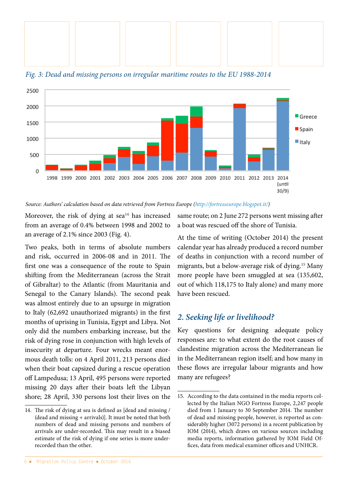



*Fig. 3: Dead and missing persons on irregular maritime routes to the EU 1988-2014*

*Source: Authors' calculation based on data retrieved from Fortress Europe [\(http://fortresseurope.blogspot.it/\)](http://fortresseurope.blogspot.it/)*

Moreover, the risk of dying at sea<sup>14</sup> has increased from an average of 0.4% between 1998 and 2002 to an average of 2.1% since 2003 (Fig. 4).

Two peaks, both in terms of absolute numbers and risk, occurred in 2006-08 and in 2011. The first one was a consequence of the route to Spain shifting from the Mediterranean (across the Strait of Gibraltar) to the Atlantic (from Mauritania and Senegal to the Canary Islands). The second peak was almost entirely due to an upsurge in migration to Italy (62,692 unauthorized migrants) in the first months of uprising in Tunisia, Egypt and Libya. Not only did the numbers embarking increase, but the risk of dying rose in conjunction with high levels of insecurity at departure. Four wrecks meant enormous death tolls: on 4 April 2011, 213 persons died when their boat capsized during a rescue operation off Lampedusa; 13 April, 495 persons were reported missing 20 days after their boats left the Libyan shore; 28 April, 330 persons lost their lives on the

same route; on 2 June 272 persons went missing after a boat was rescued off the shore of Tunisia.

At the time of writing (October 2014) the present calendar year has already produced a record number of deaths in conjunction with a record number of migrants, but a below-average risk of dying.15 Many more people have been smuggled at sea (135,602, out of which 118,175 to Italy alone) and many more have been rescued.

# *2. Seeking life or livelihood?*

Key questions for designing adequate policy responses are: to what extent do the root causes of clandestine migration across the Mediterranean lie in the Mediterranean region itself; and how many in these flows are irregular labour migrants and how many are refugees?

<sup>14.</sup> The risk of dying at sea is defined as [dead and missing / (dead and missing + arrivals)]. It must be noted that both numbers of dead and missing persons and numbers of arrivals are under-recorded. This may result in a biased estimate of the risk of dying if one series is more underrecorded than the other.

<sup>15.</sup> According to the data contained in the media reports collected by the Italian NGO Fortress Europe, 2,247 people died from 1 January to 30 September 2014. The number of dead and missing people, however, is reported as considerably higher (3072 persons) in a recent publication by IOM (2014), which draws on various sources including media reports, information gathered by IOM Field Offices, data from medical examiner offices and UNHCR.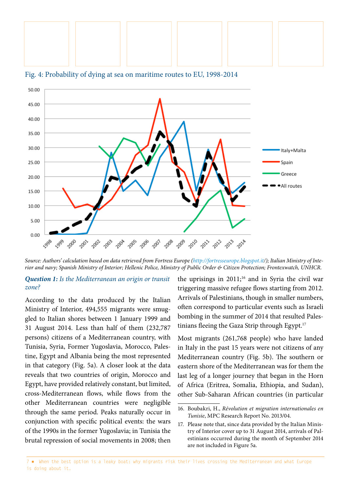



Fig. 4: Probability of dying at sea on maritime routes to EU, 1998-2014

Source: Authors' calculation based on data retrieved from Fortress Europe [\(http://fortresseurope.blogspot.it](http://fortresseurope.blogspot.it)/); Italian Ministry of Inte*rior and navy; Spanish Ministry of Interior; Hellenic Police, Ministry of Public Order & Citizen Protection; Frontexwatch, UNHCR.*

#### *Question 1: Is the Mediterranean an origin or transit zone?*

According to the data produced by the Italian Ministry of Interior, 494,555 migrants were smuggled to Italian shores between 1 January 1999 and 31 August 2014. Less than half of them (232,787 persons) citizens of a Mediterranean country, with Tunisia, Syria, Former Yugoslavia, Morocco, Palestine, Egypt and Albania being the most represented in that category (Fig. 5a). A closer look at the data reveals that two countries of origin, Morocco and Egypt, have provided relatively constant, but limited, cross-Mediterranean flows, while flows from the other Mediterranean countries were negligible through the same period. Peaks naturally occur in conjunction with specific political events: the wars of the 1990s in the former Yugoslavia; in Tunisia the brutal repression of social movements in 2008; then the uprisings in  $2011;^{16}$  and in Syria the civil war triggering massive refugee flows starting from 2012. Arrivals of Palestinians, though in smaller numbers, often correspond to particular events such as Israeli bombing in the summer of 2014 that resulted Palestinians fleeing the Gaza Strip through Egypt.<sup>17</sup>

Most migrants (261,768 people) who have landed in Italy in the past 15 years were not citizens of any Mediterranean country (Fig. 5b). The southern or eastern shore of the Mediterranean was for them the last leg of a longer journey that began in the Horn of Africa (Eritrea, Somalia, Ethiopia, and Sudan), other Sub-Saharan African countries (in particular

<sup>16.</sup> Boubakri, H., *Révolution et migration internationales en Tunisie*, MPC Research Report No. 2013/04.

<sup>17.</sup> Please note that, since data provided by the Italian Ministry of Interior cover up to 31 August 2014, arrivals of Palestinians occurred during the month of September 2014 are not included in Figure 5a.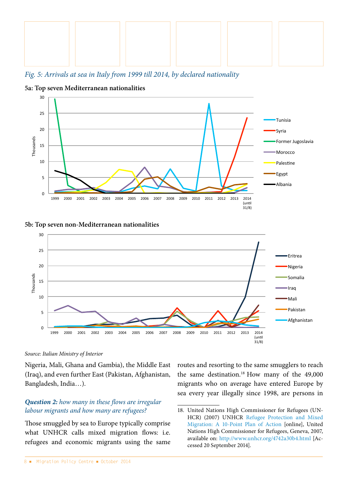

*Fig. 5: Arrivals at sea in Italy from 1999 till 2014, by declared nationality*



**5a: Top seven Mediterranean nationalities**

#### **5b: Top seven non-Mediterranean nationalities**



#### *Source: Italian Ministry of Interior*

Nigeria, Mali, Ghana and Gambia), the Middle East (Iraq), and even further East (Pakistan, Afghanistan, Bangladesh, India…).

## *Question 2: how many in these flows are irregular labour migrants and how many are refugees?*

Those smuggled by sea to Europe typically comprise what UNHCR calls mixed migration flows: i.e. refugees and economic migrants using the same routes and resorting to the same smugglers to reach the same destination.<sup>18</sup> How many of the 49,000 migrants who on average have entered Europe by sea every year illegally since 1998, are persons in

<sup>18.</sup> United Nations High Commissioner for Refugees (UN-HCR) (2007) UNHCR [Refugee Protection and Mixed](http://www.unhcr.org/4742a30b4.html)  [Migration: A 10-Point Plan of Action](http://www.unhcr.org/4742a30b4.html) [online], United Nations High Commissioner for Refugees, Geneva, 2007, available on: <http://www.unhcr.org/4742a30b4.html>[Accessed 20 September 2014].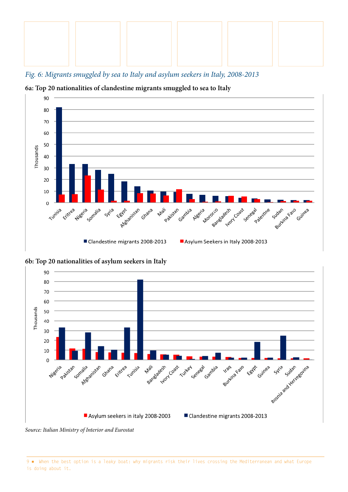

*Fig. 6: Migrants smuggled by sea to Italy and asylum seekers in Italy, 2008-2013*



**6a: Top 20 nationalities of clandestine migrants smuggled to sea to Italy**

**6b: Top 20 nationalities of asylum seekers in Italy**



*Source: Italian Ministry of Interior and Eurostat*

9 ■ When the best option is a leaky boat: why migrants risk their lives crossing the Mediterranean and what Europe is doing about it.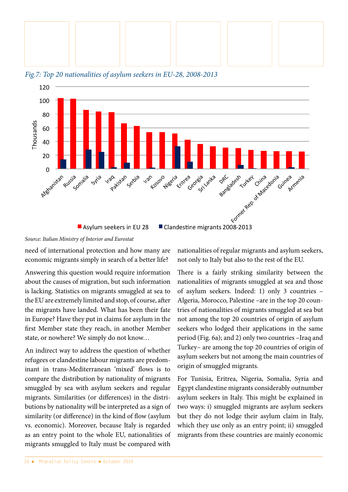



*Fig.7: Top 20 nationalities of asylum seekers in EU-28, 2008-2013*

need of international protection and how many are economic migrants simply in search of a better life?

Answering this question would require information about the causes of migration, but such information is lacking. Statistics on migrants smuggled at sea to the EU are extremely limited and stop, of course, after the migrants have landed. What has been their fate in Europe? Have they put in claims for asylum in the first Member state they reach, in another Member state, or nowhere? We simply do not know…

An indirect way to address the question of whether refugees or clandestine labour migrants are predominant in trans-Mediterranean 'mixed' flows is to compare the distribution by nationality of migrants smuggled by sea with asylum seekers and regular migrants. Similarities (or differences) in the distributions by nationality will be interpreted as a sign of similarity (or difference) in the kind of flow (asylum vs. economic). Moreover, because Italy is regarded as an entry point to the whole EU, nationalities of migrants smuggled to Italy must be compared with nationalities of regular migrants and asylum seekers, not only to Italy but also to the rest of the EU.

There is a fairly striking similarity between the nationalities of migrants smuggled at sea and those of asylum seekers. Indeed: 1) only 3 countries – Algeria, Morocco, Palestine –are in the top 20 countries of nationalities of migrants smuggled at sea but not among the top 20 countries of origin of asylum seekers who lodged their applications in the same period (Fig. 6a); and 2) only two countries –Iraq and Turkey– are among the top 20 countries of origin of asylum seekers but not among the main countries of origin of smuggled migrants.

For Tunisia, Eritrea, Nigeria, Somalia, Syria and Egypt clandestine migrants considerably outnumber asylum seekers in Italy. This might be explained in two ways: i) smuggled migrants are asylum seekers but they do not lodge their asylum claim in Italy, which they use only as an entry point; ii) smuggled migrants from these countries are mainly economic

*Source: Italian Ministry of Interior and Eurostat*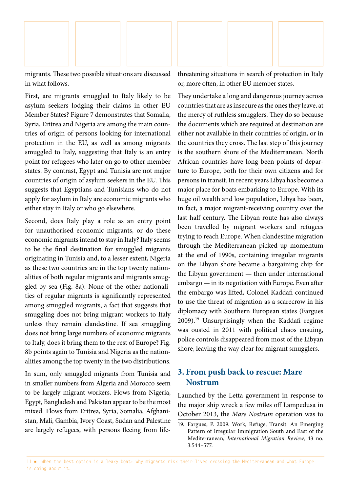

migrants. These two possible situations are discussed in what follows.

First, are migrants smuggled to Italy likely to be asylum seekers lodging their claims in other EU Member States? Figure 7 demonstrates that Somalia, Syria, Eritrea and Nigeria are among the main countries of origin of persons looking for international protection in the EU, as well as among migrants smuggled to Italy, suggesting that Italy is an entry point for refugees who later on go to other member states. By contrast, Egypt and Tunisia are not major countries of origin of asylum seekers in the EU. This suggests that Egyptians and Tunisians who do not apply for asylum in Italy are economic migrants who either stay in Italy or who go elsewhere.

Second, does Italy play a role as an entry point for unauthorised economic migrants, or do these economic migrants intend to stay in Italy? Italy seems to be the final destination for smuggled migrants originating in Tunisia and, to a lesser extent, Nigeria as these two countries are in the top twenty nationalities of both regular migrants and migrants smuggled by sea (Fig. 8a). None of the other nationalities of regular migrants is significantly represented among smuggled migrants, a fact that suggests that smuggling does not bring migrant workers to Italy unless they remain clandestine. If sea smuggling does not bring large numbers of economic migrants to Italy, does it bring them to the rest of Europe? Fig. 8b points again to Tunisia and Nigeria as the nationalities among the top twenty in the two distributions.

In sum, only smuggled migrants from Tunisia and in smaller numbers from Algeria and Morocco seem to be largely migrant workers. Flows from Nigeria, Egypt, Bangladesh and Pakistan appear to be the most mixed. Flows from Eritrea, Syria, Somalia, Afghanistan, Mali, Gambia, Ivory Coast, Sudan and Palestine are largely refugees, with persons fleeing from lifethreatening situations in search of protection in Italy or, more often, in other EU member states.

They undertake a long and dangerous journey across countries that are as insecure as the ones they leave, at the mercy of ruthless smugglers. They do so because the documents which are required at destination are either not available in their countries of origin, or in the countries they cross. The last step of this journey is the southern shore of the Mediterranean. North African countries have long been points of departure to Europe, both for their own citizens and for persons in transit. In recent years Libya has become a major place for boats embarking to Europe. With its huge oil wealth and low population, Libya has been, in fact, a major migrant-receiving country over the last half century. The Libyan route has also always been travelled by migrant workers and refugees trying to reach Europe. When clandestine migration through the Mediterranean picked up momentum at the end of 1990s, containing irregular migrants on the Libyan shore became a bargaining chip for the Libyan government — then under international embargo — in its negotiation with Europe. Even after the embargo was lifted, Colonel Kaddafi continued to use the threat of migration as a scarecrow in his diplomacy with Southern European states (Fargues 2009).19 Unsurprisingly when the Kaddafi regime was ousted in 2011 with political chaos ensuing, police controls disappeared from most of the Libyan shore, leaving the way clear for migrant smugglers.

# **3. From push back to rescue: Mare Nostrum**

Launched by the Letta government in response to the major ship wreck a few miles off Lampedusa in October 2013, the *Mare Nostrum* operation was to

<sup>19.</sup> Fargues, P. 2009. Work, Refuge, Transit: An Emerging Pattern of Irregular Immigration South and East of the Mediterranean, *International Migration Review*, 43 no. 3:544–577.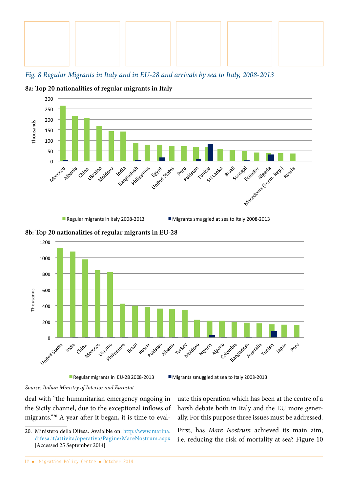

*Fig. 8 Regular Migrants in Italy and in EU-28 and arrivals by sea to Italy, 2008-2013*



**8a: Top 20 nationalities of regular migrants in Italy**

Regular migrants in Italy 2008-2013



**8b: Top 20 nationalities of regular migrants in EU-28**

Regular migrants in EU-28 2008-2013

Migrants smuggled at sea to Italy 2008-2013

*Source: Italian Ministry of Interior and Eurostat*

deal with "the humanitarian emergency ongoing in the Sicily channel, due to the exceptional inflows of migrants."20 A year after it began, it is time to evaluate this operation which has been at the centre of a harsh debate both in Italy and the EU more generally. For this purpose three issues must be addressed.

First, has *Mare Nostrum* achieved its main aim, i.e. reducing the risk of mortality at sea? Figure 10

<sup>20.</sup> Ministero della Difesa. Avaialble on: [http://www.marina.](http://www.marina.difesa.it/attivita/operativa/Pagine/MareNostrum.aspx) [difesa.it/attivita/operativa/Pagine/MareNostrum.aspx](http://www.marina.difesa.it/attivita/operativa/Pagine/MareNostrum.aspx)  [Accessed 25 September 2014]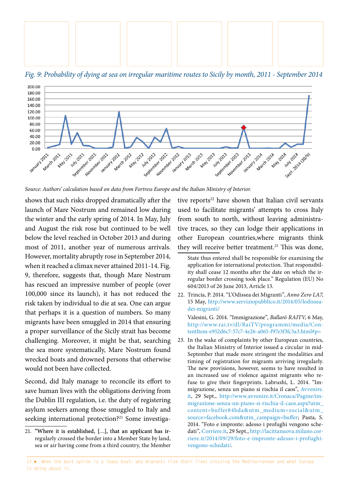

*Fig. 9: Probability of dying at sea on irregular maritime routes to Sicily by month, 2011 - September 2014*



*Source: Authors' calculation based on data from Fortress Europe and the Italian Ministry of Interior.*

shows that such risks dropped dramatically after the launch of Mare Nostrum and remained low during the winter and the early spring of 2014. In May, July and August the risk rose but continued to be well below the level reached in October 2013 and during most of 2011, another year of numerous arrivals. However, mortality abruptly rose in September 2014, when it reached a climax never attained 2011-14. Fig. 9, therefore, suggests that, though Mare Nostrum has rescued an impressive number of people (over 100,000 since its launch), it has not reduced the risk taken by individual to die at sea. One can argue that perhaps it is a question of numbers. So many migrants have been smuggled in 2014 that ensuring a proper surveillance of the Sicily strait has become challenging. Moreover, it might be that, searching the sea more systematically, Mare Nostrum found wrecked boats and drowned persons that otherwise would not been have collected.

Second, did Italy manage to reconcile its effort to save human lives with the obligations deriving from the Dublin III regulation, i.e. the duty of registering asylum seekers among those smuggled to Italy and seeking international protection?<sup>21</sup> Some investigative reports $22$  have shown that Italian civil servants used to facilitate migrants' attempts to cross Italy from south to north, without leaving administrative traces, so they can lodge their applications in other European countries,where migrants think they will receive better treatment.<sup>23</sup> This was done,

- 22. Trincia, P. 2014. "L'Odissea dei Migranti", *Anno Zero LA7*, 15 May, [http://www.serviziopubblico.it/2014/05/lodissea](http://www.serviziopubblico.it/2014/05/lodissea-dei-migranti/)[dei-migranti/](http://www.serviziopubblico.it/2014/05/lodissea-dei-migranti/) Valesini, G. 2014. "Immigrazione", *Ballaró RAITV*, 6 May, [http://www.rai.tv/dl/RaiTV/programmi/media/Con](http://www.rai.tv/dl/RaiTV/programmi/media/ContentItem-e952d6c7-57c7-4e26-a065-f97e3f3fc3a3.html#p=)[tentItem-e952d6c7-57c7-4e26-a065-f97e3f3fc3a3.html#p=](http://www.rai.tv/dl/RaiTV/programmi/media/ContentItem-e952d6c7-57c7-4e26-a065-f97e3f3fc3a3.html#p=)
- 23. In the wake of complaints by other European countries, the Italian Ministry of Interior issued a circular in mid-September that made more stringent the modalities and timing of registration for migrants arriving irregularly. The new provisions, however, seems to have resulted in an increased use of violence against migrants who refuse to give their fingerprints. Labrushi, L. 2014. "Immigrazione, senza un piano si rischia il caos", [Avvenire.](Avvenire.it) [it,](Avvenire.it) 29 Sept., [http://www.avvenire.it/Cronaca/Pagine/im](http://www.avvenire.it/Cronaca/Pagine/immigrazione-senza-un-piano-si-rischia-il-caos.aspx?utm_content=buffer84bda&utm_medium=social&utm_source=facebook.com&utm_campaign=buffer)[migrazione-senza-un-piano-si-rischia-il-caos.aspx?utm\\_](http://www.avvenire.it/Cronaca/Pagine/immigrazione-senza-un-piano-si-rischia-il-caos.aspx?utm_content=buffer84bda&utm_medium=social&utm_source=facebook.com&utm_campaign=buffer) [content=buffer84bda&utm\\_medium=social&utm\\_](http://www.avvenire.it/Cronaca/Pagine/immigrazione-senza-un-piano-si-rischia-il-caos.aspx?utm_content=buffer84bda&utm_medium=social&utm_source=facebook.com&utm_campaign=buffer) [source=facebook.com&utm\\_campaign=buffer;](http://www.avvenire.it/Cronaca/Pagine/immigrazione-senza-un-piano-si-rischia-il-caos.aspx?utm_content=buffer84bda&utm_medium=social&utm_source=facebook.com&utm_campaign=buffer) Pasta, S. 2014. "Foto e impronte: adesso i profughi vengono schedati", [Corriere.it,](Corriere.it) 29 Sept., [http://lacittanuova.milano.cor](http://lacittanuova.milano.corriere.it/2014/09/29/foto-e-impronte-adesso-i-profughi-vengono-schedati/)[riere.it/2014/09/29/foto-e-impronte-adesso-i-profughi](http://lacittanuova.milano.corriere.it/2014/09/29/foto-e-impronte-adesso-i-profughi-vengono-schedati/)[vengono-schedati/](http://lacittanuova.milano.corriere.it/2014/09/29/foto-e-impronte-adesso-i-profughi-vengono-schedati/).

<sup>21. &</sup>quot;Where it is established, [...], that an applicant has irregularly crossed the border into a Member State by land, sea or air having come from a third country, the Member

State thus entered shall be responsible for examining the application for international protection. That responsibility shall cease 12 months after the date on which the irregular border crossing took place." Regulation (EU) No 604/2013 of 26 June 2013, Article 13.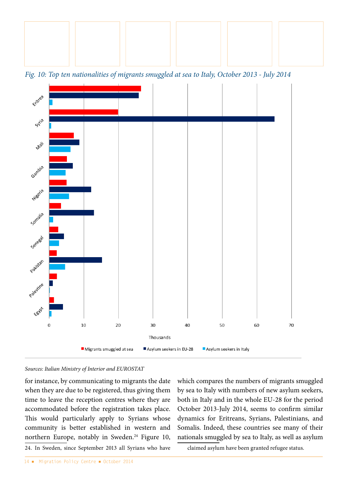

*Fig. 10: Top ten nationalities of migrants smuggled at sea to Italy, October 2013 - July 2014*



#### *Sources: Italian Ministry of Interior and EUROSTAT*

for instance, by communicating to migrants the date when they are due to be registered, thus giving them time to leave the reception centres where they are accommodated before the registration takes place. This would particularly apply to Syrians whose community is better established in western and northern Europe, notably in Sweden.<sup>24</sup> Figure 10, 24. In Sweden, since September 2013 all Syrians who have

which compares the numbers of migrants smuggled by sea to Italy with numbers of new asylum seekers, both in Italy and in the whole EU-28 for the period October 2013-July 2014, seems to confirm similar dynamics for Eritreans, Syrians, Palestinians, and Somalis. Indeed, these countries see many of their nationals smuggled by sea to Italy, as well as asylum

claimed asylum have been granted refugee status.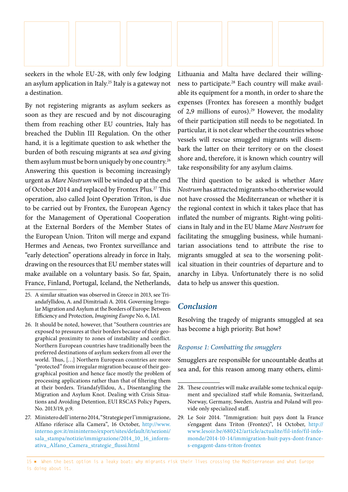

seekers in the whole EU-28, with only few lodging an asylum application in Italy.25 Italy is a gateway not a destination.

By not registering migrants as asylum seekers as soon as they are rescued and by not discouraging them from reaching other EU countries, Italy has breached the Dublin III Regulation. On the other hand, it is a legitimate question to ask whether the burden of both rescuing migrants at sea *and* giving them asylum must be born uniquely by one country.<sup>26</sup> Answering this question is becoming increasingly urgent as *Mare Nostrum* will be winded up at the end of October 2014 and replaced by Frontex Plus.<sup>27</sup> This operation, also called Joint Operation Triton, is due to be carried out by Frontex, the European Agency for the Management of Operational Cooperation at the External Borders of the Member States of the European Union. Triton will merge and expand Hermes and Aeneas, two Frontex surveillance and "early detection" operations already in force in Italy, drawing on the resources that EU member states will make available on a voluntary basis. So far, Spain, France, Finland, Portugal, Iceland, the Netherlands,

Lithuania and Malta have declared their willingness to participate.28 Each country will make available its equipment for a month, in order to share the expenses (Frontex has foreseen a monthly budget of 2,9 millions of euros).<sup>29</sup> However, the modality of their participation still needs to be negotiated. In particular, it is not clear whether the countries whose vessels will rescue smuggled migrants will disembark the latter on their territory or on the closest shore and, therefore, it is known which country will take responsibility for any asylum claims.

The third question to be asked is whether *Mare Nostrum* has attracted migrants who otherwise would not have crossed the Mediterranean or whether it is the regional context in which it takes place that has inflated the number of migrants. Right-wing politicians in Italy and in the EU blame *Mare Nostrum* for facilitating the smuggling business, while humanitarian associations tend to attribute the rise to migrants smuggled at sea to the worsening political situation in their countries of departure and to anarchy in Libya. Unfortunately there is no solid data to help us answer this question.

# *Conclusion*

Resolving the tragedy of migrants smuggled at sea has become a high priority. But how?

## *Response 1: Combatting the smugglers*

Smugglers are responsible for uncountable deaths at sea and, for this reason among many others, elimi-

<sup>25.</sup> A similar situation was observed in Greece in 2013, see Triandafyllidou, A. and Dimitriadi A. 2014. Governing Irregular Migration and Asylum at the Borders of Europe: Between Efficiency and Protection, *Imagining Europe* No. 6, IAI.

<sup>26.</sup> It should be noted, however, that "Southern countries are exposed to pressures at their borders because of their geographical proximity to zones of instability and conflict. Northern European countries have traditionally been the preferred destinations of asylum seekers from all over the world. Thus, […] Northern European countries are more "protected" from irregular migration because of their geographical position and hence face mostly the problem of processing applications rather than that of filtering them at their borders. Triandafyllidou, A., Disentangling the Migration and Asylum Knot. Dealing with Crisis Situations and Avoiding Detention, EUI RSCAS Policy Papers, No. 2013/19, p.9.

<sup>27.</sup> Ministero dell'interno 2014, "Strategie per l'immigrazione, Alfano riferisce alla Camera", 16 October, [http://www.](http://www.interno.gov.it/mininterno/export/sites/default/it/sezioni/sala_stampa/notizie/immigrazione/2014_10_16_informativa_Alfano_Camera_strategie_flussi.html) [interno.gov.it/mininterno/export/sites/default/it/sezioni/](http://www.interno.gov.it/mininterno/export/sites/default/it/sezioni/sala_stampa/notizie/immigrazione/2014_10_16_informativa_Alfano_Camera_strategie_flussi.html) [sala\\_stampa/notizie/immigrazione/2014\\_10\\_16\\_inform](http://www.interno.gov.it/mininterno/export/sites/default/it/sezioni/sala_stampa/notizie/immigrazione/2014_10_16_informativa_Alfano_Camera_strategie_flussi.html)[ativa\\_Alfano\\_Camera\\_strategie\\_flussi.html](http://www.interno.gov.it/mininterno/export/sites/default/it/sezioni/sala_stampa/notizie/immigrazione/2014_10_16_informativa_Alfano_Camera_strategie_flussi.html)

<sup>28.</sup> These countries will make available some technical equipment and specialized staff while Romania, Switzerland, Norway, Germany, Sweden, Austria and Poland will provide only specialized staff.

<sup>29.</sup> Le Soir 2014. "Immigration: huit pays dont la France s'engagent dans Triton (Frontex)", 14 October, [http://](http://www.lesoir.be/680242/article/actualite/fil-info/fil-info-monde/2014-10-14/immigration-huit-pays-dont-france-s-engagent-dans-triton-frontex) [www.lesoir.be/680242/article/actualite/fil-info/fil-info](http://www.lesoir.be/680242/article/actualite/fil-info/fil-info-monde/2014-10-14/immigration-huit-pays-dont-france-s-engagent-dans-triton-frontex)[monde/2014-10-14/immigration-huit-pays-dont-france](http://www.lesoir.be/680242/article/actualite/fil-info/fil-info-monde/2014-10-14/immigration-huit-pays-dont-france-s-engagent-dans-triton-frontex)[s-engagent-dans-triton-frontex](http://www.lesoir.be/680242/article/actualite/fil-info/fil-info-monde/2014-10-14/immigration-huit-pays-dont-france-s-engagent-dans-triton-frontex)

<sup>15 ■</sup> When the best option is a leaky boat: why migrants risk their lives crossing the Mediterranean and what Europe is doing about it.